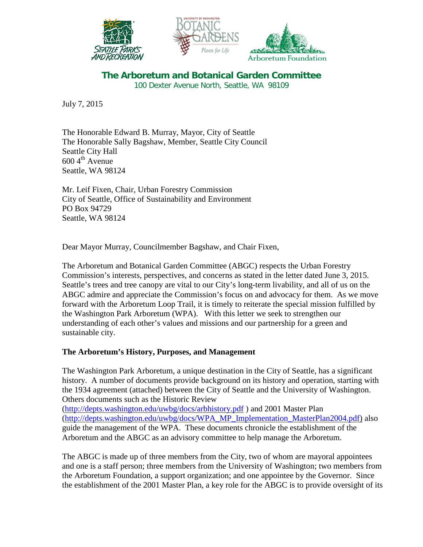





**The Arboretum and Botanical Garden Committee** 100 Dexter Avenue North, Seattle, WA 98109

July 7, 2015

The Honorable Edward B. Murray, Mayor, City of Seattle The Honorable Sally Bagshaw, Member, Seattle City Council Seattle City Hall  $600 \, 4^{\text{th}}$  Avenue Seattle, WA 98124

Mr. Leif Fixen, Chair, Urban Forestry Commission City of Seattle, Office of Sustainability and Environment PO Box 94729 Seattle, WA 98124

Dear Mayor Murray, Councilmember Bagshaw, and Chair Fixen,

The Arboretum and Botanical Garden Committee (ABGC) respects the Urban Forestry Commission's interests, perspectives, and concerns as stated in the letter dated June 3, 2015. Seattle's trees and tree canopy are vital to our City's long-term livability, and all of us on the ABGC admire and appreciate the Commission's focus on and advocacy for them. As we move forward with the Arboretum Loop Trail, it is timely to reiterate the special mission fulfilled by the Washington Park Arboretum (WPA). With this letter we seek to strengthen our understanding of each other's values and missions and our partnership for a green and sustainable city.

## **The Arboretum's History, Purposes, and Management**

The Washington Park Arboretum, a unique destination in the City of Seattle, has a significant history. A number of documents provide background on its history and operation, starting with the 1934 agreement (attached) between the City of Seattle and the University of Washington. Others documents such as the Historic Review

[\(http://depts.washington.edu/uwbg/docs/arbhistory.pdf](http://depts.washington.edu/uwbg/docs/arbhistory.pdf) ) and 2001 Master Plan [\(http://depts.washington.edu/uwbg/docs/WPA\\_MP\\_Implementation\\_MasterPlan2004.pdf\)](http://depts.washington.edu/uwbg/docs/WPA_MP_Implementation_MasterPlan2004.pdf) also guide the management of the WPA. These documents chronicle the establishment of the Arboretum and the ABGC as an advisory committee to help manage the Arboretum.

The ABGC is made up of three members from the City, two of whom are mayoral appointees and one is a staff person; three members from the University of Washington; two members from the Arboretum Foundation, a support organization; and one appointee by the Governor. Since the establishment of the 2001 Master Plan, a key role for the ABGC is to provide oversight of its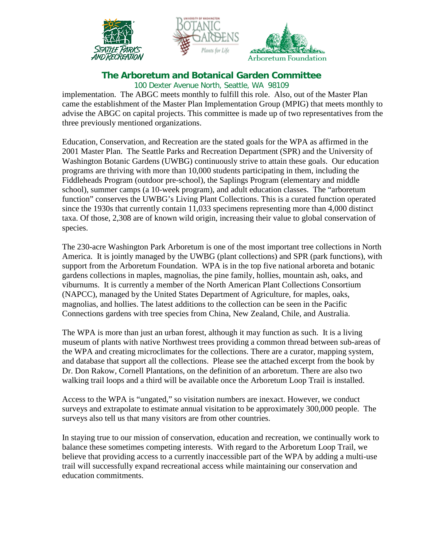





## **The Arboretum and Botanical Garden Committee**

100 Dexter Avenue North, Seattle, WA 98109

implementation. The ABGC meets monthly to fulfill this role. Also, out of the Master Plan came the establishment of the Master Plan Implementation Group (MPIG) that meets monthly to advise the ABGC on capital projects. This committee is made up of two representatives from the three previously mentioned organizations.

Education, Conservation, and Recreation are the stated goals for the WPA as affirmed in the 2001 Master Plan. The Seattle Parks and Recreation Department (SPR) and the University of Washington Botanic Gardens (UWBG) continuously strive to attain these goals. Our education programs are thriving with more than 10,000 students participating in them, including the Fiddleheads Program (outdoor pre-school), the Saplings Program (elementary and middle school), summer camps (a 10-week program), and adult education classes. The "arboretum function" conserves the UWBG's Living Plant Collections. This is a curated function operated since the 1930s that currently contain 11,033 specimens representing more than 4,000 distinct taxa. Of those, 2,308 are of known wild origin, increasing their value to global conservation of species.

The 230-acre Washington Park Arboretum is one of the most important tree collections in North America. It is jointly managed by the UWBG (plant collections) and SPR (park functions), with support from the Arboretum Foundation. WPA is in the top five national arboreta and botanic gardens collections in maples, magnolias, the pine family, hollies, mountain ash, oaks, and viburnums. It is currently a member of the North American Plant Collections Consortium (NAPCC), managed by the United States Department of Agriculture, for maples, oaks, magnolias, and hollies. The latest additions to the collection can be seen in the Pacific Connections gardens with tree species from China, New Zealand, Chile, and Australia.

The WPA is more than just an urban forest, although it may function as such. It is a living museum of plants with native Northwest trees providing a common thread between sub-areas of the WPA and creating microclimates for the collections. There are a curator, mapping system, and database that support all the collections. Please see the attached excerpt from the book by Dr. Don Rakow, Cornell Plantations, on the definition of an arboretum. There are also two walking trail loops and a third will be available once the Arboretum Loop Trail is installed.

Access to the WPA is "ungated," so visitation numbers are inexact. However, we conduct surveys and extrapolate to estimate annual visitation to be approximately 300,000 people. The surveys also tell us that many visitors are from other countries.

In staying true to our mission of conservation, education and recreation, we continually work to balance these sometimes competing interests. With regard to the Arboretum Loop Trail, we believe that providing access to a currently inaccessible part of the WPA by adding a multi-use trail will successfully expand recreational access while maintaining our conservation and education commitments.